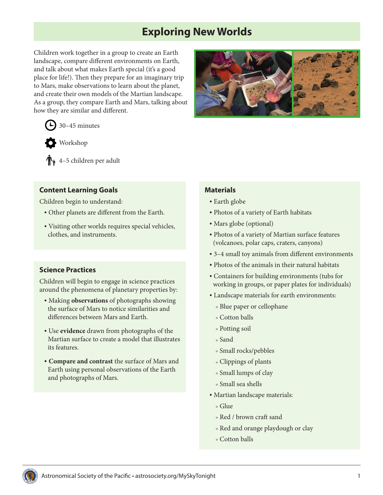# **Exploring New Worlds**

Children work together in a group to create an Earth landscape, compare different environments on Earth, and talk about what makes Earth special (it's a good place for life!). Then they prepare for an imaginary trip to Mars, make observations to learn about the planet, and create their own models of the Martian landscape. As a group, they compare Earth and Mars, talking about how they are similar and different.





 $\bigoplus$  4–5 children per adult

### **Content Learning Goals**

Children begin to understand:

- Other planets are different from the Earth.
- Visiting other worlds requires special vehicles, clothes, and instruments.

# **Science Practices**

Children will begin to engage in science practices around the phenomena of planetary properties by:

- Making **observations** of photographs showing the surface of Mars to notice similarities and differences between Mars and Earth.
- Use **evidence** drawn from photographs of the Martian surface to create a model that illustrates its features.
- **• Compare and contrast** the surface of Mars and Earth using personal observations of the Earth and photographs of Mars.



### **Materials**

- Earth globe
- Photos of a variety of Earth habitats
- Mars globe (optional)
- Photos of a variety of Martian surface features (volcanoes, polar caps, craters, canyons)
- 3–4 small toy animals from different environments
- Photos of the animals in their natural habitats
- Containers for building environments (tubs for working in groups, or paper plates for individuals)
- Landscape materials for earth environments:
	- <sup>o</sup> Blue paper or cellophane
	- <sup>o</sup> Cotton balls
	- <sup>o</sup> Potting soil
	- <sup>o</sup> Sand
	- <sup>o</sup> Small rocks/pebbles
	- <sup>o</sup> Clippings of plants
	- <sup>o</sup> Small lumps of clay
	- <sup>o</sup> Small sea shells
- Martian landscape materials:
	- <sup>o</sup> Glue
	- <sup>o</sup> Red / brown craft sand
	- <sup>o</sup> Red and orange playdough or clay
	- <sup>o</sup> Cotton balls

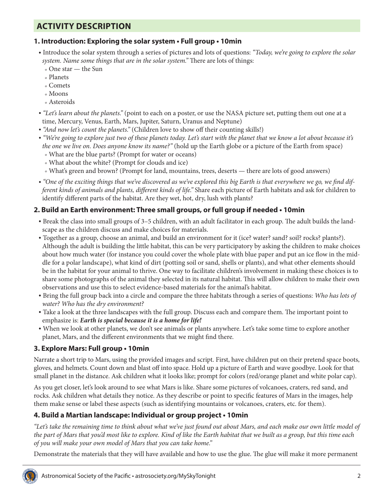# **ACTIVITY DESCRIPTION**

### **1. Introduction: Exploring the solar system • Full group • 10min**

- Introduce the solar system through a series of pictures and lots of questions: *"Today, we're going to explore the solar system. Name some things that are in the solar system."* There are lots of things:
	- <sup>o</sup> One star the Sun
	- <sup>o</sup> Planets
	- <sup>o</sup> Comets
	- <sup>o</sup> Moons
	- <sup>o</sup> Asteroids
- *• "Let's learn about the planets."* (point to each on a poster, or use the NASA picture set, putting them out one at a time, Mercury, Venus, Earth, Mars, Jupiter, Saturn, Uranus and Neptune)
- *• "And now let's count the planets."* (Children love to show off their counting skills!)
- *• "We're going to explore just two of these planets today. Let's start with the planet that we know a lot about because it's the one we live on. Does anyone know its name?"* (hold up the Earth globe or a picture of the Earth from space)
	- <sup>o</sup> What are the blue parts? (Prompt for water or oceans)
	- <sup>o</sup> What about the white? (Prompt for clouds and ice)
	- <sup>o</sup> What's green and brown? (Prompt for land, mountains, trees, deserts there are lots of good answers)
- *• "One of the exciting things that we've discovered as we've explored this big Earth is that everywhere we go, we find different kinds of animals and plants, different kinds of life."* Share each picture of Earth habitats and ask for children to identify different parts of the habitat. Are they wet, hot, dry, lush with plants?

## **2. Build an Earth environment: Three small groups, or full group if needed • 10min**

- Break the class into small groups of 3–5 children, with an adult facilitator in each group. The adult builds the landscape as the children discuss and make choices for materials.
- Together as a group, choose an animal, and build an environment for it (ice? water? sand? soil? rocks? plants?). Although the adult is building the little habitat, this can be very participatory by asking the children to make choices about how much water (for instance you could cover the whole plate with blue paper and put an ice flow in the middle for a polar landscape), what kind of dirt (potting soil or sand, shells or plants), and what other elements should be in the habitat for your animal to thrive. One way to facilitate children's involvement in making these choices is to share some photographs of the animal they selected in its natural habitat. This will allow children to make their own observations and use this to select evidence-based materials for the animal's habitat.
- Bring the full group back into a circle and compare the three habitats through a series of questions: *Who has lots of water? Who has the dry environment?*
- Take a look at the three landscapes with the full group. Discuss each and compare them. The important point to emphasize is: *Earth is special because it is a home for life!*
- When we look at other planets, we don't see animals or plants anywhere. Let's take some time to explore another planet, Mars, and the different environments that we might find there.

### **3. Explore Mars: Full group • 10min**

Narrate a short trip to Mars, using the provided images and script. First, have children put on their pretend space boots, gloves, and helmets. Count down and blast off into space. Hold up a picture of Earth and wave goodbye. Look for that small planet in the distance. Ask children what it looks like; prompt for colors (red/orange planet and white polar cap).

As you get closer, let's look around to see what Mars is like. Share some pictures of volcanoes, craters, red sand, and rocks. Ask children what details they notice. As they describe or point to specific features of Mars in the images, help them make sense or label these aspects (such as identifying mountains or volcanoes, craters, etc. for them).

# **4. Build a Martian landscape: Individual or group project • 10min**

*"Let's take the remaining time to think about what we've just found out about Mars, and each make our own little model of the part of Mars that you'd most like to explore. Kind of like the Earth habitat that we built as a group, but this time each of you will make your own model of Mars that you can take home."*

Demonstrate the materials that they will have available and how to use the glue. The glue will make it more permanent

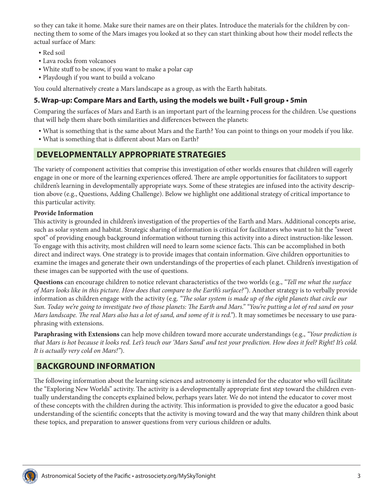so they can take it home. Make sure their names are on their plates. Introduce the materials for the children by connecting them to some of the Mars images you looked at so they can start thinking about how their model reflects the actual surface of Mars:

- Red soil
- Lava rocks from volcanoes
- White stuff to be snow, if you want to make a polar cap
- Playdough if you want to build a volcano

You could alternatively create a Mars landscape as a group, as with the Earth habitats.

### **5. Wrap-up: Compare Mars and Earth, using the models we built • Full group • 5min**

Comparing the surfaces of Mars and Earth is an important part of the learning process for the children. Use questions that will help them share both similarities and differences between the planets:

- What is something that is the same about Mars and the Earth? You can point to things on your models if you like.
- What is something that is different about Mars on Earth?

# **DEVELOPMENTALLY APPROPRIATE STRATEGIES**

The variety of component activities that comprise this investigation of other worlds ensures that children will eagerly engage in one or more of the learning experiences offered. There are ample opportunities for facilitators to support children's learning in developmentally appropriate ways. Some of these strategies are infused into the activity description above (e.g., Questions, Adding Challenge). Below we highlight one additional strategy of critical importance to this particular activity.

### **Provide Information**

This activity is grounded in children's investigation of the properties of the Earth and Mars. Additional concepts arise, such as solar system and habitat. Strategic sharing of information is critical for facilitators who want to hit the "sweet spot" of providing enough background information without turning this activity into a direct instruction-like lesson. To engage with this activity, most children will need to learn some science facts. This can be accomplished in both direct and indirect ways. One strategy is to provide images that contain information. Give children opportunities to examine the images and generate their own understandings of the properties of each planet. Children's investigation of these images can be supported with the use of questions.

**Questions** can encourage children to notice relevant characteristics of the two worlds (e.g., *"Tell me what the surface of Mars looks like in this picture. How does that compare to the Earth's surface?"*). Another strategy is to verbally provide information as children engage with the activity (e.g. *"The solar system is made up of the eight planets that circle our Sun. Today we're going to investigate two of those planets: The Earth and Mars." "You're putting a lot of red sand on your Mars landscape. The real Mars also has a lot of sand, and some of it is red."*). It may sometimes be necessary to use paraphrasing with extensions.

**Paraphrasing with Extensions** can help move children toward more accurate understandings (e.g., *"Your prediction is that Mars is hot because it looks red. Let's touch our 'Mars Sand' and test your prediction. How does it feel? Right! It's cold. It is actually very cold on Mars!"*).

# **BACKGROUND INFORMATION**

The following information about the learning sciences and astronomy is intended for the educator who will facilitate the "Exploring New Worlds" activity. The activity is a developmentally appropriate first step toward the children eventually understanding the concepts explained below, perhaps years later. We do not intend the educator to cover most of these concepts with the children during the activity. This information is provided to give the educator a good basic understanding of the scientific concepts that the activity is moving toward and the way that many children think about these topics, and preparation to answer questions from very curious children or adults.

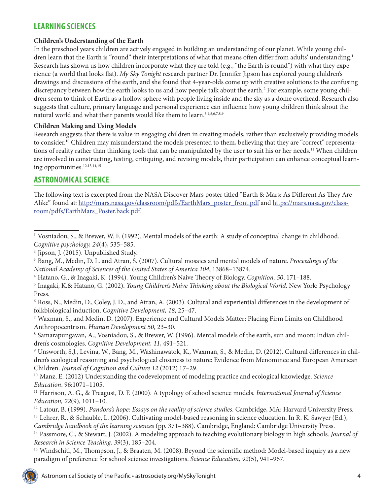# **LEARNING SCIENCES**

### **Children's Understanding of the Earth**

In the preschool years children are actively engaged in building an understanding of our planet. While young children learn that the Earth is "round" their interpretations of what that means often differ from adults' understanding.<sup>1</sup> Research has shown us how children incorporate what they are told (e.g., "the Earth is round") with what they experience (a world that looks flat). *My Sky Tonight* research partner Dr. Jennifer Jipson has explored young children's drawings and discussions of the earth, and she found that 4-year-olds come up with creative solutions to the confusing discrepancy between how the earth looks to us and how people talk about the earth.<sup>2</sup> For example, some young children seem to think of Earth as a hollow sphere with people living inside and the sky as a dome overhead. Research also suggests that culture, primary language and personal experience can influence how young children think about the natural world and what their parents would like them to learn.<sup>3,4,5,6,7,8,9</sup>

#### **Children Making and Using Models**

Research suggests that there is value in engaging children in creating models, rather than exclusively providing models to consider.10 Children may misunderstand the models presented to them, believing that they are "correct" representations of reality rather than thinking tools that can be manipulated by the user to suit his or her needs.<sup>11</sup> When children are involved in constructing, testing, critiquing, and revising models, their participation can enhance conceptual learning opportunities.<sup>12,13,14,15</sup>

# **ASTRONOMICAL SCIENCE**

The following text is excerpted from the NASA Discover Mars poster titled "Earth & Mars: As Different As They Are Alike" found at: [http://mars.nasa.gov/classroom/pdfs/EarthMars\\_poster\\_front.pdf](http://mars.nasa.gov/classroom/pdfs/EarthMars_poster_front.pdf) and [https://mars.nasa.gov/class](https://mars.nasa.gov/classroom/pdfs/EarthMars_Poster.back.pdf)[room/pdfs/EarthMars\\_Poster.back.pdf](https://mars.nasa.gov/classroom/pdfs/EarthMars_Poster.back.pdf).

<sup>3</sup> Bang, M., Medin, D. L. and Atran, S. (2007). Cultural mosaics and mental models of nature. *Proceedings of the National Academy of Sciences of the United States of America 104*, 13868–13874.

<sup>4</sup> Hatano, G., & Inagaki, K. (1994). Young Children's Naive Theory of Biology. *Cognition, 50*, 171–188.

<sup>5</sup> Inagaki, K.& Hatano, G. (2002). *Young Children's Naive Thinking about the Biological World*. New York: Psychology Press.

<sup>6</sup> Ross, N., Medin, D., Coley, J. D., and Atran, A. (2003). Cultural and experiential differences in the development of folkbiological induction. *Cognitive Development, 18,* 25–47.

<sup>7</sup> Waxman, S., and Medin, D. (2007). Experience and Cultural Models Matter: Placing Firm Limits on Childhood Anthropocentrism. *Human Development 50*, 23–30.

<sup>8</sup> Samarapungavan, A., Vosniadou, S., & Brewer, W. (1996). Mental models of the earth, sun and moon: Indian children's cosmologies. *Cognitive Development, 11*, 491–521.

<sup>9</sup> Unsworth, S.J., Levina, W., Bang, M., Washinawatok, K., Waxman, S., & Medin, D. (2012). Cultural differences in children's ecological reasoning and psychological closeness to nature: Evidence from Menominee and European American Children. *Journal of Cognition and Culture 12* (2012) 17–29.

<sup>10</sup> Manz, E. (2012) Understanding the codevelopment of modeling practice and ecological knowledge. *Science Education*. 96:1071–1105.

<sup>11</sup> Harrison, A. G., & Treagust, D. F. (2000). A typology of school science models. *International Journal of Science Education, 22*(9), 1011–10.

<sup>12</sup> Latour, B. (1999). *Pandora's hope: Essays on the reality of science studies*. Cambridge, MA: Harvard University Press. <sup>13</sup> Lehrer, R., & Schauble, L. (2006). Cultivating model-based reasoning in science education. In R. K. Sawyer (Ed.),

*Cambridge handbook of the learning sciences* (pp. 371–388). Cambridge, England: Cambridge University Press.

<sup>14</sup> Passmore, C., & Stewart, J. (2002). A modeling approach to teaching evolutionary biology in high schools. *Journal of Research in Science Teaching, 39*(3), 185–204.

<sup>15</sup> Windschitl, M., Thompson, J., & Braaten, M. (2008). Beyond the scientific method: Model-based inquiry as a new paradigm of preference for school science investigations. *Science Education, 92*(5), 941–967.



<sup>1</sup> Vosniadou, S., & Brewer, W. F. (1992). Mental models of the earth: A study of conceptual change in childhood. *Cognitive psychology, 24*(4), 535–585.

<sup>2</sup> Jipson, J. (2015). Unpublished Study.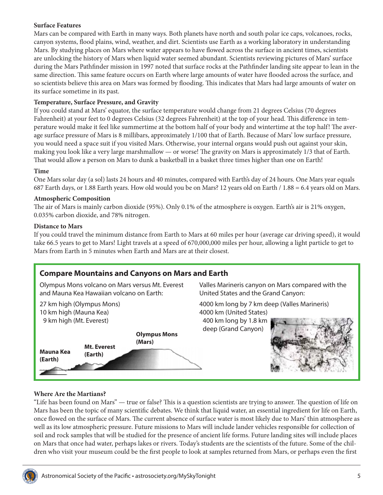### **Surface Features**

Mars can be compared with Earth in many ways. Both planets have north and south polar ice caps, volcanoes, rocks, canyon systems, flood plains, wind, weather, and dirt. Scientists use Earth as a working laboratory in understanding Mars. By studying places on Mars where water appears to have flowed across the surface in ancient times, scientists are unlocking the history of Mars when liquid water seemed abundant. Scientists reviewing pictures of Mars' surface during the Mars Pathfinder mission in 1997 noted that surface rocks at the Pathfinder landing site appear to lean in the same direction. This same feature occurs on Earth where large amounts of water have flooded across the surface, and so scientists believe this area on Mars was formed by flooding. This indicates that Mars had large amounts of water on its surface sometime in its past.

### **Temperature, Surface Pressure, and Gravity**

If you could stand at Mars' equator, the surface temperature would change from 21 degrees Celsius (70 degrees Fahrenheit) at your feet to 0 degrees Celsius (32 degrees Fahrenheit) at the top of your head. This difference in temperature would make it feel like summertime at the bottom half of your body and wintertime at the top half! The average surface pressure of Mars is 8 millibars, approximately 1/100 that of Earth. Because of Mars' low surface pressure, you would need a space suit if you visited Mars. Otherwise, your internal organs would push out against your skin, making you look like a very large marshmallow — or worse! The gravity on Mars is approximately 1/3 that of Earth. That would allow a person on Mars to dunk a basketball in a basket three times higher than one on Earth!

#### **Time**

One Mars solar day (a sol) lasts 24 hours and 40 minutes, compared with Earth's day of 24 hours. One Mars year equals 687 Earth days, or 1.88 Earth years. How old would you be on Mars? 12 years old on Earth / 1.88 = 6.4 years old on Mars.

#### **Atmospheric Composition**

The air of Mars is mainly carbon dioxide (95%). Only 0.1% of the atmosphere is oxygen. Earth's air is 21% oxygen, 0.035% carbon dioxide, and 78% nitrogen.

#### **Distance to Mars**

If you could travel the minimum distance from Earth to Mars at 60 miles per hour (average car driving speed), it would take 66.5 years to get to Mars! Light travels at a speed of 670,000,000 miles per hour, allowing a light particle to get to Mars from Earth in 5 minutes when Earth and Mars are at their closest.

Valles Marineris canyon on Mars compared with the

United States and the Grand Canyon:

### **Compare Mountains and Canyons on Mars and Earth**

Olympus Mons volcano on Mars versus Mt. Everest and Mauna Kea Hawaiian volcano on Earth:



#### **Where Are the Martians?**

"Life has been found on Mars" — true or false? This is a question scientists are trying to answer. The question of life on Mars has been the topic of many scientific debates. We think that liquid water, an essential ingredient for life on Earth, once flowed on the surface of Mars. The current absence of surface water is most likely due to Mars' thin atmosphere as well as its low atmospheric pressure. Future missions to Mars will include lander vehicles responsible for collection of soil and rock samples that will be studied for the presence of ancient life forms. Future landing sites will include places on Mars that once had water, perhaps lakes or rivers. Today's students are the scientists of the future. Some of the children who visit your museum could be the first people to look at samples returned from Mars, or perhaps even the first